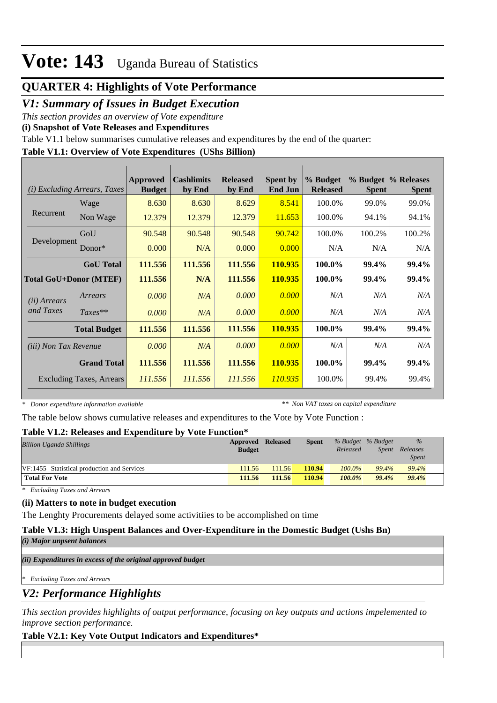### **QUARTER 4: Highlights of Vote Performance**

### *V1: Summary of Issues in Budget Execution*

*This section provides an overview of Vote expenditure* 

**(i) Snapshot of Vote Releases and Expenditures**

Table V1.1 below summarises cumulative releases and expenditures by the end of the quarter:

### **Table V1.1: Overview of Vote Expenditures (UShs Billion)**

| (i)                           | <b>Excluding Arrears, Taxes</b> | Approved<br><b>Budget</b> | <b>Cashlimits</b><br>by End | <b>Released</b><br>by End | <b>Spent by</b><br><b>End Jun</b> | % Budget<br><b>Released</b> | <b>Spent</b> | % Budget % Releases<br><b>Spent</b> |
|-------------------------------|---------------------------------|---------------------------|-----------------------------|---------------------------|-----------------------------------|-----------------------------|--------------|-------------------------------------|
|                               | Wage                            | 8.630                     | 8.630                       | 8.629                     | 8.541                             | 100.0%                      | 99.0%        | 99.0%                               |
| Recurrent                     | Non Wage                        | 12.379                    | 12.379                      | 12.379                    | 11.653                            | 100.0%                      | 94.1%        | 94.1%                               |
|                               | GoU                             | 90.548                    | 90.548                      | 90.548                    | 90.742                            | 100.0%                      | 100.2%       | 100.2%                              |
| Development                   | $Donor*$                        | 0.000                     | N/A                         | 0.000                     | 0.000                             | N/A                         | N/A          | N/A                                 |
|                               | <b>GoU</b> Total                | 111.556                   | 111.556                     | 111.556                   | 110.935                           | 100.0%                      | 99.4%        | 99.4%                               |
| <b>Total GoU+Donor (MTEF)</b> |                                 | 111.556                   | N/A                         | 111.556                   | 110.935                           | 100.0%                      | 99.4%        | 99.4%                               |
| ( <i>ii</i> ) Arrears         | Arrears                         | 0.000                     | N/A                         | 0.000                     | 0.000                             | N/A                         | N/A          | N/A                                 |
| and Taxes                     | $Taxes**$                       | 0.000                     | N/A                         | 0.000                     | 0.000                             | N/A                         | N/A          | N/A                                 |
|                               | <b>Total Budget</b>             | 111.556                   | 111.556                     | 111.556                   | 110.935                           | 100.0%                      | 99.4%        | 99.4%                               |
| <i>(iii)</i> Non Tax Revenue  |                                 | 0.000                     | N/A                         | 0.000                     | 0.000                             | N/A                         | N/A          | N/A                                 |
|                               | <b>Grand Total</b>              | 111.556                   | 111.556                     | 111.556                   | 110.935                           | 100.0%                      | 99.4%        | 99.4%                               |
|                               | <b>Excluding Taxes, Arrears</b> | 111.556                   | 111.556                     | 111.556                   | 110.935                           | 100.0%                      | 99.4%        | 99.4%                               |

*\* Donor expenditure information available*

*\*\* Non VAT taxes on capital expenditure*

The table below shows cumulative releases and expenditures to the Vote by Vote Function :

### **Table V1.2: Releases and Expenditure by Vote Function\***

| <b>Billion Uganda Shillings</b>             | Approved Released |        | <b>Spent</b> |           | % Budget % Budget | $\%$         |  |  |
|---------------------------------------------|-------------------|--------|--------------|-----------|-------------------|--------------|--|--|
|                                             | <b>Budget</b>     |        |              | Released  | Spent             | Releases     |  |  |
|                                             |                   |        |              |           |                   | <i>Spent</i> |  |  |
| VF:1455 Statistical production and Services | 111.56            | 111.56 | 110.94       | 100.0%    | 99.4%             | 99.4%        |  |  |
| <b>Total For Vote</b>                       | 111.56            | 111.56 | 110.94       | $100.0\%$ | 99.4%             | 99.4%        |  |  |

*\* Excluding Taxes and Arrears*

### **(ii) Matters to note in budget execution**

The Lenghty Procurements delayed some activitiies to be accomplished on time

### **Table V1.3: High Unspent Balances and Over-Expenditure in the Domestic Budget (Ushs Bn)**

*(i) Major unpsent balances*

*(ii) Expenditures in excess of the original approved budget*

*\* Excluding Taxes and Arrears*

*V2: Performance Highlights*

*This section provides highlights of output performance, focusing on key outputs and actions impelemented to improve section performance.*

### **Table V2.1: Key Vote Output Indicators and Expenditures\***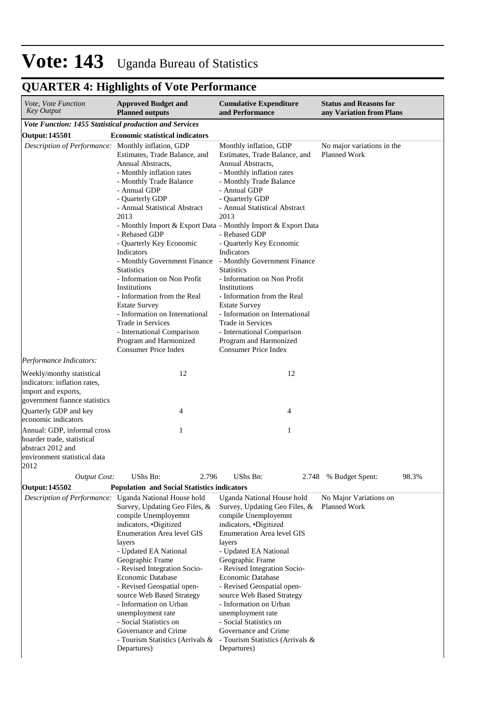## **QUARTER 4: Highlights of Vote Performance**

| Vote, Vote Function<br><b>Key Output</b>                                                                                                                                                                                       | <b>Approved Budget and</b><br><b>Planned outputs</b>                                                                                                                                                                                                                                                                                                                                                                                                                                                                                                       | <b>Cumulative Expenditure</b><br>and Performance                                                                                                                                                                                                                                                                                                                                                                                                                                                                                                                                                                                                      | <b>Status and Reasons for</b><br>any Variation from Plans |
|--------------------------------------------------------------------------------------------------------------------------------------------------------------------------------------------------------------------------------|------------------------------------------------------------------------------------------------------------------------------------------------------------------------------------------------------------------------------------------------------------------------------------------------------------------------------------------------------------------------------------------------------------------------------------------------------------------------------------------------------------------------------------------------------------|-------------------------------------------------------------------------------------------------------------------------------------------------------------------------------------------------------------------------------------------------------------------------------------------------------------------------------------------------------------------------------------------------------------------------------------------------------------------------------------------------------------------------------------------------------------------------------------------------------------------------------------------------------|-----------------------------------------------------------|
| Vote Function: 1455 Statistical production and Services                                                                                                                                                                        |                                                                                                                                                                                                                                                                                                                                                                                                                                                                                                                                                            |                                                                                                                                                                                                                                                                                                                                                                                                                                                                                                                                                                                                                                                       |                                                           |
| <b>Output: 145501</b>                                                                                                                                                                                                          | <b>Economic statistical indicators</b>                                                                                                                                                                                                                                                                                                                                                                                                                                                                                                                     |                                                                                                                                                                                                                                                                                                                                                                                                                                                                                                                                                                                                                                                       |                                                           |
| Description of Performance: Monthly inflation, GDP                                                                                                                                                                             | Estimates, Trade Balance, and<br>Annual Abstracts,<br>- Monthly inflation rates<br>- Monthly Trade Balance<br>- Annual GDP<br>- Quarterly GDP<br>- Annual Statistical Abstract<br>2013<br>- Rebased GDP<br>- Quarterly Key Economic<br>Indicators<br>- Monthly Government Finance<br><b>Statistics</b><br>- Information on Non Profit<br>Institutions<br>- Information from the Real<br><b>Estate Survey</b><br>- Information on International<br>Trade in Services<br>- International Comparison<br>Program and Harmonized<br><b>Consumer Price Index</b> | Monthly inflation, GDP<br>Estimates, Trade Balance, and<br>Annual Abstracts,<br>- Monthly inflation rates<br>- Monthly Trade Balance<br>- Annual GDP<br>- Quarterly GDP<br>- Annual Statistical Abstract<br>2013<br>- Monthly Import & Export Data - Monthly Import & Export Data<br>- Rebased GDP<br>- Quarterly Key Economic<br>Indicators<br>- Monthly Government Finance<br><b>Statistics</b><br>- Information on Non Profit<br>Institutions<br>- Information from the Real<br><b>Estate Survey</b><br>- Information on International<br>Trade in Services<br>- International Comparison<br>Program and Harmonized<br><b>Consumer Price Index</b> | No major variations in the<br>Planned Work                |
| Performance Indicators:                                                                                                                                                                                                        |                                                                                                                                                                                                                                                                                                                                                                                                                                                                                                                                                            |                                                                                                                                                                                                                                                                                                                                                                                                                                                                                                                                                                                                                                                       |                                                           |
| Weekly/monthy statistical<br>indicators: inflation rates,<br>import and exports,<br>government fiannce statistics<br>Quarterly GDP and key<br>economic indicators<br>Annual: GDP, informal cross<br>boarder trade, statistical | 12<br>4<br>1                                                                                                                                                                                                                                                                                                                                                                                                                                                                                                                                               | 12<br>4<br>1                                                                                                                                                                                                                                                                                                                                                                                                                                                                                                                                                                                                                                          |                                                           |
| abstract 2012 and<br>environment statistical data<br>2012                                                                                                                                                                      |                                                                                                                                                                                                                                                                                                                                                                                                                                                                                                                                                            |                                                                                                                                                                                                                                                                                                                                                                                                                                                                                                                                                                                                                                                       |                                                           |
| <b>Output Cost:</b>                                                                                                                                                                                                            | UShs Bn:<br>2.796                                                                                                                                                                                                                                                                                                                                                                                                                                                                                                                                          | UShs Bn:                                                                                                                                                                                                                                                                                                                                                                                                                                                                                                                                                                                                                                              | 2.748 % Budget Spent:<br>98.3%                            |
| Output: 145502                                                                                                                                                                                                                 | <b>Population and Social Statistics indicators</b>                                                                                                                                                                                                                                                                                                                                                                                                                                                                                                         |                                                                                                                                                                                                                                                                                                                                                                                                                                                                                                                                                                                                                                                       |                                                           |
|                                                                                                                                                                                                                                | Description of Performance: Uganda National House hold<br>Survey, Updating Geo Files, &<br>compile Unemployemnt<br>indicators, Digitized<br><b>Enumeration Area level GIS</b><br>layers<br>- Updated EA National<br>Geographic Frame<br>- Revised Integration Socio-<br>Economic Database<br>- Revised Geospatial open-<br>source Web Based Strategy<br>- Information on Urban<br>unemployment rate<br>- Social Statistics on<br>Governance and Crime<br>- Tourism Statistics (Arrivals &<br>Departures)                                                   | Uganda National House hold<br>Survey, Updating Geo Files, &<br>compile Unemployemnt<br>indicators, •Digitized<br><b>Enumeration Area level GIS</b><br>layers<br>- Updated EA National<br>Geographic Frame<br>- Revised Integration Socio-<br>Economic Database<br>- Revised Geospatial open-<br>source Web Based Strategy<br>- Information on Urban<br>unemployment rate<br>- Social Statistics on<br>Governance and Crime<br>- Tourism Statistics (Arrivals &<br>Departures)                                                                                                                                                                         | No Major Variations on<br>Planned Work                    |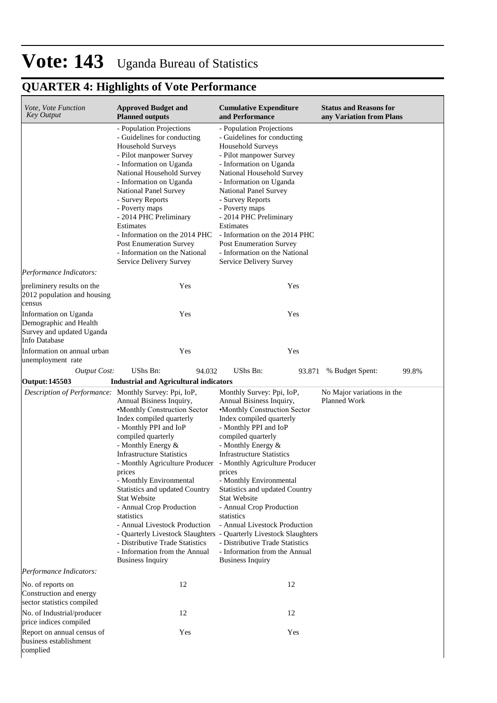## **QUARTER 4: Highlights of Vote Performance**

| Vote, Vote Function<br><b>Key Output</b>                                                                                           | <b>Approved Budget and</b><br><b>Planned outputs</b>                                                                                                                                                                                                                                                                                                                                                                                                                                                                                   | <b>Cumulative Expenditure</b><br>and Performance                                                                                                                                                                                                                                                                                                                                                                                                                                                                                                                        | <b>Status and Reasons for</b><br>any Variation from Plans |
|------------------------------------------------------------------------------------------------------------------------------------|----------------------------------------------------------------------------------------------------------------------------------------------------------------------------------------------------------------------------------------------------------------------------------------------------------------------------------------------------------------------------------------------------------------------------------------------------------------------------------------------------------------------------------------|-------------------------------------------------------------------------------------------------------------------------------------------------------------------------------------------------------------------------------------------------------------------------------------------------------------------------------------------------------------------------------------------------------------------------------------------------------------------------------------------------------------------------------------------------------------------------|-----------------------------------------------------------|
|                                                                                                                                    | - Population Projections<br>- Guidelines for conducting<br><b>Household Surveys</b><br>- Pilot manpower Survey<br>- Information on Uganda<br>National Household Survey<br>- Information on Uganda<br><b>National Panel Survey</b><br>- Survey Reports<br>- Poverty maps<br>- 2014 PHC Preliminary<br>Estimates<br>- Information on the 2014 PHC<br><b>Post Enumeration Survey</b><br>- Information on the National<br>Service Delivery Survey                                                                                          | - Population Projections<br>- Guidelines for conducting<br>Household Surveys<br>- Pilot manpower Survey<br>- Information on Uganda<br>National Household Survey<br>- Information on Uganda<br>National Panel Survey<br>- Survey Reports<br>- Poverty maps<br>- 2014 PHC Preliminary<br>Estimates<br>- Information on the 2014 PHC<br><b>Post Enumeration Survey</b><br>- Information on the National<br>Service Delivery Survey                                                                                                                                         |                                                           |
| Performance Indicators:                                                                                                            |                                                                                                                                                                                                                                                                                                                                                                                                                                                                                                                                        |                                                                                                                                                                                                                                                                                                                                                                                                                                                                                                                                                                         |                                                           |
| preliminery results on the<br>2012 population and housing<br>census                                                                | Yes                                                                                                                                                                                                                                                                                                                                                                                                                                                                                                                                    | Yes                                                                                                                                                                                                                                                                                                                                                                                                                                                                                                                                                                     |                                                           |
| Information on Uganda<br>Demographic and Health<br>Survey and updated Uganda<br>Info Database                                      | Yes                                                                                                                                                                                                                                                                                                                                                                                                                                                                                                                                    | Yes                                                                                                                                                                                                                                                                                                                                                                                                                                                                                                                                                                     |                                                           |
| Information on annual urban<br>unemployment rate                                                                                   | Yes                                                                                                                                                                                                                                                                                                                                                                                                                                                                                                                                    | Yes                                                                                                                                                                                                                                                                                                                                                                                                                                                                                                                                                                     |                                                           |
| <b>Output Cost:</b>                                                                                                                | UShs Bn:<br>94.032                                                                                                                                                                                                                                                                                                                                                                                                                                                                                                                     | UShs Bn:<br>93.871                                                                                                                                                                                                                                                                                                                                                                                                                                                                                                                                                      | 99.8%<br>% Budget Spent:                                  |
| <b>Output: 145503</b>                                                                                                              | <b>Industrial and Agricultural indicators</b>                                                                                                                                                                                                                                                                                                                                                                                                                                                                                          |                                                                                                                                                                                                                                                                                                                                                                                                                                                                                                                                                                         |                                                           |
| Description of Performance: Monthly Survey: Ppi, IoP,                                                                              | Annual Bisiness Inquiry,<br>•Monthly Construction Sector<br>Index compiled quarterly<br>- Monthly PPI and IoP<br>compiled quarterly<br>- Monthly Energy &<br><b>Infrastructure Statistics</b><br>- Monthly Agriculture Producer - Monthly Agriculture Producer<br>prices<br>- Monthly Environmental<br>Statistics and updated Country<br><b>Stat Website</b><br>- Annual Crop Production<br>statistics<br>- Annual Livestock Production<br>- Distributive Trade Statistics<br>- Information from the Annual<br><b>Business Inquiry</b> | Monthly Survey: Ppi, IoP,<br>Annual Bisiness Inquiry,<br>•Monthly Construction Sector<br>Index compiled quarterly<br>- Monthly PPI and IoP<br>compiled quarterly<br>- Monthly Energy &<br><b>Infrastructure Statistics</b><br>prices<br>- Monthly Environmental<br>Statistics and updated Country<br><b>Stat Website</b><br>- Annual Crop Production<br>statistics<br>- Annual Livestock Production<br>- Quarterly Livestock Slaughters - Quarterly Livestock Slaughters<br>- Distributive Trade Statistics<br>- Information from the Annual<br><b>Business Inquiry</b> | No Major variations in the<br>Planned Work                |
| Performance Indicators:                                                                                                            |                                                                                                                                                                                                                                                                                                                                                                                                                                                                                                                                        |                                                                                                                                                                                                                                                                                                                                                                                                                                                                                                                                                                         |                                                           |
| No. of reports on<br>Construction and energy<br>sector statistics compiled<br>No. of Industrial/producer<br>price indices compiled | 12<br>12                                                                                                                                                                                                                                                                                                                                                                                                                                                                                                                               | 12<br>12                                                                                                                                                                                                                                                                                                                                                                                                                                                                                                                                                                |                                                           |
| Report on annual census of<br>business establishment<br>complied                                                                   | Yes                                                                                                                                                                                                                                                                                                                                                                                                                                                                                                                                    | Yes                                                                                                                                                                                                                                                                                                                                                                                                                                                                                                                                                                     |                                                           |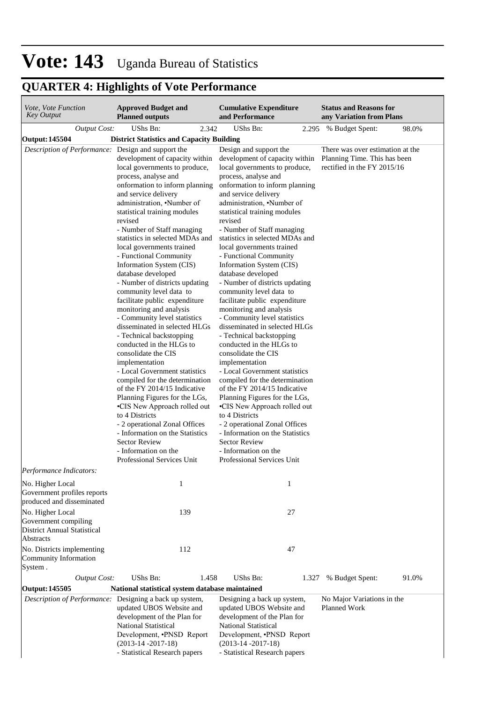## **QUARTER 4: Highlights of Vote Performance**

| Vote, Vote Function<br><b>Key Output</b>                                                                                                                                                                                                                                                                                                                                                                                                                                                                                                                                                                                                                                                                                                                                                                                                                                                                                                                                                                                                                                                                            | <b>Approved Budget and</b><br><b>Planned outputs</b>                                                                                                                                                       | <b>Cumulative Expenditure</b><br>and Performance                                                                                                                                                                                                                                                                                                                                                                                                                                                                                                                                                                                                                                                                                                                                                                                                                                                                                                                                                                                                                  | <b>Status and Reasons for</b><br>any Variation from Plans                                       |
|---------------------------------------------------------------------------------------------------------------------------------------------------------------------------------------------------------------------------------------------------------------------------------------------------------------------------------------------------------------------------------------------------------------------------------------------------------------------------------------------------------------------------------------------------------------------------------------------------------------------------------------------------------------------------------------------------------------------------------------------------------------------------------------------------------------------------------------------------------------------------------------------------------------------------------------------------------------------------------------------------------------------------------------------------------------------------------------------------------------------|------------------------------------------------------------------------------------------------------------------------------------------------------------------------------------------------------------|-------------------------------------------------------------------------------------------------------------------------------------------------------------------------------------------------------------------------------------------------------------------------------------------------------------------------------------------------------------------------------------------------------------------------------------------------------------------------------------------------------------------------------------------------------------------------------------------------------------------------------------------------------------------------------------------------------------------------------------------------------------------------------------------------------------------------------------------------------------------------------------------------------------------------------------------------------------------------------------------------------------------------------------------------------------------|-------------------------------------------------------------------------------------------------|
| <b>Output Cost:</b>                                                                                                                                                                                                                                                                                                                                                                                                                                                                                                                                                                                                                                                                                                                                                                                                                                                                                                                                                                                                                                                                                                 | UShs Bn:<br>2.342                                                                                                                                                                                          | <b>UShs Bn:</b>                                                                                                                                                                                                                                                                                                                                                                                                                                                                                                                                                                                                                                                                                                                                                                                                                                                                                                                                                                                                                                                   | 98.0%<br>2.295 % Budget Spent:                                                                  |
| Output: 145504                                                                                                                                                                                                                                                                                                                                                                                                                                                                                                                                                                                                                                                                                                                                                                                                                                                                                                                                                                                                                                                                                                      |                                                                                                                                                                                                            |                                                                                                                                                                                                                                                                                                                                                                                                                                                                                                                                                                                                                                                                                                                                                                                                                                                                                                                                                                                                                                                                   |                                                                                                 |
| <b>District Statistics and Capacity Building</b><br>Description of Performance: Design and support the<br>development of capacity within<br>local governments to produce,<br>process, analyse and<br>onformation to inform planning<br>and service delivery<br>administration, .Number of<br>statistical training modules<br>revised<br>- Number of Staff managing<br>statistics in selected MDAs and<br>local governments trained<br>- Functional Community<br>Information System (CIS)<br>database developed<br>- Number of districts updating<br>community level data to<br>facilitate public expenditure<br>monitoring and analysis<br>- Community level statistics<br>disseminated in selected HLGs<br>- Technical backstopping<br>conducted in the HLGs to<br>consolidate the CIS<br>implementation<br>- Local Government statistics<br>compiled for the determination<br>of the FY 2014/15 Indicative<br>Planning Figures for the LGs,<br>·CIS New Approach rolled out<br>to 4 Districts<br>- 2 operational Zonal Offices<br>- Information on the Statistics<br><b>Sector Review</b><br>- Information on the |                                                                                                                                                                                                            | Design and support the<br>development of capacity within<br>local governments to produce,<br>process, analyse and<br>onformation to inform planning<br>and service delivery<br>administration, .Number of<br>statistical training modules<br>revised<br>- Number of Staff managing<br>statistics in selected MDAs and<br>local governments trained<br>- Functional Community<br>Information System (CIS)<br>database developed<br>- Number of districts updating<br>community level data to<br>facilitate public expenditure<br>monitoring and analysis<br>- Community level statistics<br>disseminated in selected HLGs<br>- Technical backstopping<br>conducted in the HLGs to<br>consolidate the CIS<br>implementation<br>- Local Government statistics<br>compiled for the determination<br>of the FY 2014/15 Indicative<br>Planning Figures for the LGs,<br>•CIS New Approach rolled out<br>to 4 Districts<br>- 2 operational Zonal Offices<br>- Information on the Statistics<br><b>Sector Review</b><br>- Information on the<br>Professional Services Unit | There was over estimation at the<br>Planning Time. This has been<br>rectified in the FY 2015/16 |
| Performance Indicators:<br>No. Higher Local                                                                                                                                                                                                                                                                                                                                                                                                                                                                                                                                                                                                                                                                                                                                                                                                                                                                                                                                                                                                                                                                         | 1                                                                                                                                                                                                          | 1                                                                                                                                                                                                                                                                                                                                                                                                                                                                                                                                                                                                                                                                                                                                                                                                                                                                                                                                                                                                                                                                 |                                                                                                 |
| Government profiles reports<br>produced and disseminated                                                                                                                                                                                                                                                                                                                                                                                                                                                                                                                                                                                                                                                                                                                                                                                                                                                                                                                                                                                                                                                            |                                                                                                                                                                                                            |                                                                                                                                                                                                                                                                                                                                                                                                                                                                                                                                                                                                                                                                                                                                                                                                                                                                                                                                                                                                                                                                   |                                                                                                 |
| No. Higher Local<br>Government compiling<br><b>District Annual Statistical</b><br>Abstracts                                                                                                                                                                                                                                                                                                                                                                                                                                                                                                                                                                                                                                                                                                                                                                                                                                                                                                                                                                                                                         | 139                                                                                                                                                                                                        | 27                                                                                                                                                                                                                                                                                                                                                                                                                                                                                                                                                                                                                                                                                                                                                                                                                                                                                                                                                                                                                                                                |                                                                                                 |
| No. Districts implementing<br>Community Information<br>System.                                                                                                                                                                                                                                                                                                                                                                                                                                                                                                                                                                                                                                                                                                                                                                                                                                                                                                                                                                                                                                                      | 112                                                                                                                                                                                                        | 47                                                                                                                                                                                                                                                                                                                                                                                                                                                                                                                                                                                                                                                                                                                                                                                                                                                                                                                                                                                                                                                                |                                                                                                 |
| <b>Output Cost:</b>                                                                                                                                                                                                                                                                                                                                                                                                                                                                                                                                                                                                                                                                                                                                                                                                                                                                                                                                                                                                                                                                                                 | UShs Bn:<br>1.458                                                                                                                                                                                          | UShs Bn:<br>1.327                                                                                                                                                                                                                                                                                                                                                                                                                                                                                                                                                                                                                                                                                                                                                                                                                                                                                                                                                                                                                                                 | 91.0%<br>% Budget Spent:                                                                        |
| <b>Output: 145505</b>                                                                                                                                                                                                                                                                                                                                                                                                                                                                                                                                                                                                                                                                                                                                                                                                                                                                                                                                                                                                                                                                                               | National statistical system database maintained                                                                                                                                                            |                                                                                                                                                                                                                                                                                                                                                                                                                                                                                                                                                                                                                                                                                                                                                                                                                                                                                                                                                                                                                                                                   |                                                                                                 |
| Description of Performance:                                                                                                                                                                                                                                                                                                                                                                                                                                                                                                                                                                                                                                                                                                                                                                                                                                                                                                                                                                                                                                                                                         | Designing a back up system,<br>updated UBOS Website and<br>development of the Plan for<br>National Statistical<br>Development, <b>·PNSD</b> Report<br>$(2013-14-2017-18)$<br>- Statistical Research papers | Designing a back up system,<br>updated UBOS Website and<br>development of the Plan for<br>National Statistical<br>Development, <i>·PNSD</i> Report<br>$(2013-14-2017-18)$<br>- Statistical Research papers                                                                                                                                                                                                                                                                                                                                                                                                                                                                                                                                                                                                                                                                                                                                                                                                                                                        | No Major Variations in the<br>Planned Work                                                      |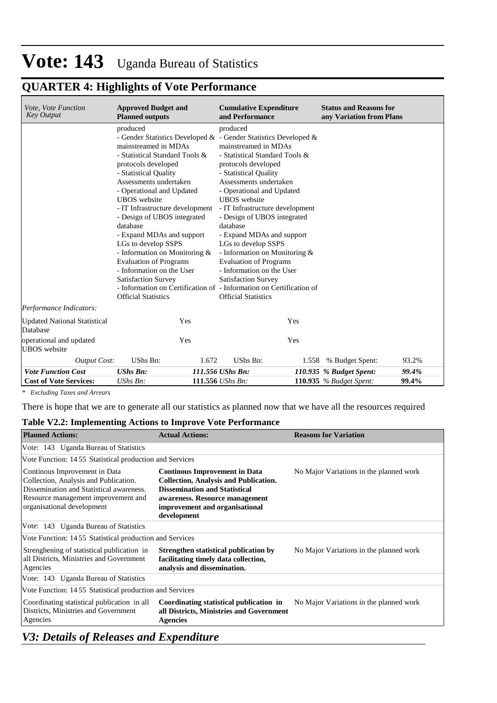## **QUARTER 4: Highlights of Vote Performance**

| Vote, Vote Function<br><b>Key Output</b>        | <b>Approved Budget and</b><br><b>Planned outputs</b>                                                                                                                                                                                                                                                                                                                                                                                                                                          | <b>Cumulative Expenditure</b><br>and Performance                                                                                                                                                                                                                                                                                                                                                                                                                                                                                                                                                                                              | <b>Status and Reasons for</b><br>any Variation from Plans |       |
|-------------------------------------------------|-----------------------------------------------------------------------------------------------------------------------------------------------------------------------------------------------------------------------------------------------------------------------------------------------------------------------------------------------------------------------------------------------------------------------------------------------------------------------------------------------|-----------------------------------------------------------------------------------------------------------------------------------------------------------------------------------------------------------------------------------------------------------------------------------------------------------------------------------------------------------------------------------------------------------------------------------------------------------------------------------------------------------------------------------------------------------------------------------------------------------------------------------------------|-----------------------------------------------------------|-------|
|                                                 | produced<br>mainstreamed in MDAs<br>- Statistical Standard Tools &<br>protocols developed<br>- Statistical Quality<br>Assessments undertaken<br>- Operational and Updated<br><b>UBOS</b> website<br>- IT Infrastructure development<br>- Design of UBOS integrated<br>database<br>- Expand MDAs and support<br>LGs to develop SSPS<br>- Information on Monitoring &<br><b>Evaluation of Programs</b><br>- Information on the User<br><b>Satisfaction Survey</b><br><b>Official Statistics</b> | produced<br>- Gender Statistics Developed $\&$ - Gender Statistics Developed $\&$<br>mainstreamed in MDAs<br>- Statistical Standard Tools &<br>protocols developed<br>- Statistical Quality<br>Assessments undertaken<br>- Operational and Updated<br><b>UBOS</b> website<br>- IT Infrastructure development<br>- Design of UBOS integrated<br>database<br>- Expand MDAs and support<br>LGs to develop SSPS<br>- Information on Monitoring &<br><b>Evaluation of Programs</b><br>- Information on the User<br><b>Satisfaction Survey</b><br>- Information on Certification of - Information on Certification of<br><b>Official Statistics</b> |                                                           |       |
| Performance Indicators:                         |                                                                                                                                                                                                                                                                                                                                                                                                                                                                                               |                                                                                                                                                                                                                                                                                                                                                                                                                                                                                                                                                                                                                                               |                                                           |       |
| <b>Updated National Statistical</b><br>Database | Yes                                                                                                                                                                                                                                                                                                                                                                                                                                                                                           | Yes                                                                                                                                                                                                                                                                                                                                                                                                                                                                                                                                                                                                                                           |                                                           |       |
| operational and updated<br><b>UBOS</b> website  | Yes                                                                                                                                                                                                                                                                                                                                                                                                                                                                                           | Yes                                                                                                                                                                                                                                                                                                                                                                                                                                                                                                                                                                                                                                           |                                                           |       |
| <b>Output Cost:</b>                             | UShs Bn:<br>1.672                                                                                                                                                                                                                                                                                                                                                                                                                                                                             | UShs Bn:<br>1.558                                                                                                                                                                                                                                                                                                                                                                                                                                                                                                                                                                                                                             | % Budget Spent:                                           | 93.2% |
| <b>Vote Function Cost</b>                       | <b>UShs Bn:</b>                                                                                                                                                                                                                                                                                                                                                                                                                                                                               | 111.556 UShs Bn:                                                                                                                                                                                                                                                                                                                                                                                                                                                                                                                                                                                                                              | 110.935 % Budget Spent:                                   | 99.4% |
| <b>Cost of Vote Services:</b>                   | UShs Bn:                                                                                                                                                                                                                                                                                                                                                                                                                                                                                      | 111.556 UShs Bn:                                                                                                                                                                                                                                                                                                                                                                                                                                                                                                                                                                                                                              | 110.935 $%$ Budget Spent:                                 | 99.4% |

*\* Excluding Taxes and Arrears*

There is hope that we are to generate all our statistics as planned now that we have all the resources required

#### **Table V2.2: Implementing Actions to Improve Vote Performance**

| <b>Planned Actions:</b>                                                                                                                                                                 | <b>Actual Actions:</b>                                                                                                                                                                                          | <b>Reasons for Variation</b>            |
|-----------------------------------------------------------------------------------------------------------------------------------------------------------------------------------------|-----------------------------------------------------------------------------------------------------------------------------------------------------------------------------------------------------------------|-----------------------------------------|
| Vote: 143 Uganda Bureau of Statistics                                                                                                                                                   |                                                                                                                                                                                                                 |                                         |
| Vote Function: 1455 Statistical production and Services                                                                                                                                 |                                                                                                                                                                                                                 |                                         |
| Continous Improvement in Data<br>Collection, Analysis and Publication.<br>Dissemination and Statistical awareness.<br>Resource management improvement and<br>organisational development | <b>Continous Improvement in Data</b><br><b>Collection, Analysis and Publication.</b><br><b>Dissemination and Statistical</b><br>awareness. Resource management<br>improvement and organisational<br>development | No Major Variations in the planned work |
| Vote: 143 Uganda Bureau of Statistics                                                                                                                                                   |                                                                                                                                                                                                                 |                                         |
| Vote Function: 1455 Statistical production and Services                                                                                                                                 |                                                                                                                                                                                                                 |                                         |
| Strenghening of statistical publication in<br>all Districts, Ministries and Government<br>Agencies                                                                                      | Strengthen statistical publication by<br>facilitating timely data collection,<br>analysis and dissemination.                                                                                                    | No Major Variations in the planned work |
| Vote: 143 Uganda Bureau of Statistics                                                                                                                                                   |                                                                                                                                                                                                                 |                                         |
| Vote Function: 1455 Statistical production and Services                                                                                                                                 |                                                                                                                                                                                                                 |                                         |
| Coordinating statistical publication in all<br>Districts, Ministries and Government<br>Agencies                                                                                         | Coordinating statistical publication in<br>all Districts, Ministries and Government<br><b>Agencies</b>                                                                                                          | No Major Variations in the planned work |

*V3: Details of Releases and Expenditure*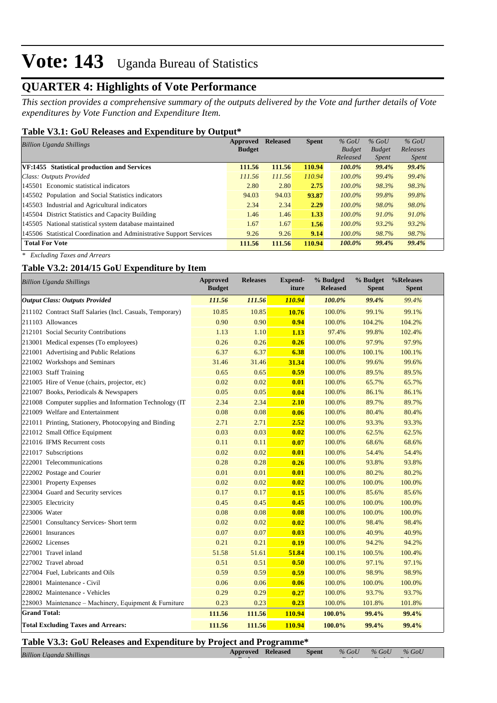## **QUARTER 4: Highlights of Vote Performance**

*This section provides a comprehensive summary of the outputs delivered by the Vote and further details of Vote expenditures by Vote Function and Expenditure Item.*

### **Table V3.1: GoU Releases and Expenditure by Output\***

| <b>Billion Uganda Shillings</b>                                     | Approved      | <b>Released</b> | <b>Spent</b> | $%$ GoU       | $%$ GoU       | $%$ GoU      |
|---------------------------------------------------------------------|---------------|-----------------|--------------|---------------|---------------|--------------|
|                                                                     | <b>Budget</b> |                 |              | <b>Budget</b> | <b>Budget</b> | Releases     |
|                                                                     |               |                 |              | Released      | <i>Spent</i>  | <i>Spent</i> |
| VF:1455 Statistical production and Services                         | 111.56        | 111.56          | 110.94       | 100.0%        | 99.4%         | 99.4%        |
| Class: Outputs Provided                                             | 111.56        | 111.56          | 110.94       | $100.0\%$     | 99.4%         | 99.4%        |
| 145501 Economic statistical indicators                              | 2.80          | 2.80            | 2.75         | $100.0\%$     | 98.3%         | 98.3%        |
| 145502 Population and Social Statistics indicators                  | 94.03         | 94.03           | 93.87        | $100.0\%$     | 99.8%         | 99.8%        |
| 145503 Industrial and Agricultural indicators                       | 2.34          | 2.34            | 2.29         | $100.0\%$     | 98.0%         | 98.0%        |
| 145504 District Statistics and Capacity Building                    | 1.46          | 1.46            | 1.33         | $100.0\%$     | 91.0%         | 91.0%        |
| 145505 National statistical system database maintained              | 1.67          | 1.67            | 1.56         | $100.0\%$     | 93.2%         | 93.2%        |
| 145506 Statistical Coordination and Administrative Support Services | 9.26          | 9.26            | 9.14         | $100.0\%$     | 98.7%         | 98.7%        |
| <b>Total For Vote</b>                                               | 111.56        | 111.56          | 110.94       | 100.0%        | 99.4%         | 99.4%        |

*\* Excluding Taxes and Arrears*

### **Table V3.2: 2014/15 GoU Expenditure by Item**

| <b>Billion Uganda Shillings</b>                           | <b>Approved</b><br><b>Budget</b> | <b>Releases</b> | <b>Expend-</b><br>iture | % Budged<br><b>Released</b> | % Budget<br><b>Spent</b> | %Releases<br><b>Spent</b> |
|-----------------------------------------------------------|----------------------------------|-----------------|-------------------------|-----------------------------|--------------------------|---------------------------|
| <b>Output Class: Outputs Provided</b>                     | 111.56                           | 111.56          | 110.94                  | 100.0%                      | 99.4%                    | 99.4%                     |
| 211102 Contract Staff Salaries (Incl. Casuals, Temporary) | 10.85                            | 10.85           | 10.76                   | 100.0%                      | 99.1%                    | 99.1%                     |
| 211103 Allowances                                         | 0.90                             | 0.90            | 0.94                    | 100.0%                      | 104.2%                   | 104.2%                    |
| 212101 Social Security Contributions                      | 1.13                             | 1.10            | 1.13                    | 97.4%                       | 99.8%                    | 102.4%                    |
| 213001 Medical expenses (To employees)                    | 0.26                             | 0.26            | 0.26                    | 100.0%                      | 97.9%                    | 97.9%                     |
| 221001 Advertising and Public Relations                   | 6.37                             | 6.37            | 6.38                    | 100.0%                      | 100.1%                   | 100.1%                    |
| 221002 Workshops and Seminars                             | 31.46                            | 31.46           | 31.34                   | 100.0%                      | 99.6%                    | 99.6%                     |
| 221003 Staff Training                                     | 0.65                             | 0.65            | 0.59                    | 100.0%                      | 89.5%                    | 89.5%                     |
| 221005 Hire of Venue (chairs, projector, etc)             | 0.02                             | 0.02            | 0.01                    | 100.0%                      | 65.7%                    | 65.7%                     |
| 221007 Books, Periodicals & Newspapers                    | 0.05                             | 0.05            | 0.04                    | 100.0%                      | 86.1%                    | 86.1%                     |
| 221008 Computer supplies and Information Technology (IT   | 2.34                             | 2.34            | 2.10                    | 100.0%                      | 89.7%                    | 89.7%                     |
| 221009 Welfare and Entertainment                          | 0.08                             | 0.08            | 0.06                    | 100.0%                      | 80.4%                    | 80.4%                     |
| 221011 Printing, Stationery, Photocopying and Binding     | 2.71                             | 2.71            | 2.52                    | 100.0%                      | 93.3%                    | 93.3%                     |
| 221012 Small Office Equipment                             | 0.03                             | 0.03            | 0.02                    | 100.0%                      | 62.5%                    | 62.5%                     |
| 221016 IFMS Recurrent costs                               | 0.11                             | 0.11            | 0.07                    | 100.0%                      | 68.6%                    | 68.6%                     |
| 221017 Subscriptions                                      | 0.02                             | 0.02            | 0.01                    | 100.0%                      | 54.4%                    | 54.4%                     |
| 222001 Telecommunications                                 | 0.28                             | 0.28            | 0.26                    | 100.0%                      | 93.8%                    | 93.8%                     |
| 222002 Postage and Courier                                | 0.01                             | 0.01            | 0.01                    | 100.0%                      | 80.2%                    | 80.2%                     |
| 223001 Property Expenses                                  | 0.02                             | 0.02            | 0.02                    | 100.0%                      | 100.0%                   | 100.0%                    |
| 223004 Guard and Security services                        | 0.17                             | 0.17            | 0.15                    | 100.0%                      | 85.6%                    | 85.6%                     |
| 223005 Electricity                                        | 0.45                             | 0.45            | 0.45                    | 100.0%                      | 100.0%                   | 100.0%                    |
| 223006 Water                                              | 0.08                             | 0.08            | 0.08                    | 100.0%                      | 100.0%                   | 100.0%                    |
| 225001 Consultancy Services- Short term                   | 0.02                             | 0.02            | 0.02                    | 100.0%                      | 98.4%                    | 98.4%                     |
| 226001 Insurances                                         | 0.07                             | 0.07            | 0.03                    | 100.0%                      | 40.9%                    | 40.9%                     |
| 226002 Licenses                                           | 0.21                             | 0.21            | 0.19                    | 100.0%                      | 94.2%                    | 94.2%                     |
| 227001 Travel inland                                      | 51.58                            | 51.61           | 51.84                   | 100.1%                      | 100.5%                   | 100.4%                    |
| 227002 Travel abroad                                      | 0.51                             | 0.51            | 0.50                    | 100.0%                      | 97.1%                    | 97.1%                     |
| 227004 Fuel, Lubricants and Oils                          | 0.59                             | 0.59            | 0.59                    | 100.0%                      | 98.9%                    | 98.9%                     |
| 228001 Maintenance - Civil                                | 0.06                             | 0.06            | 0.06                    | 100.0%                      | 100.0%                   | 100.0%                    |
| 228002 Maintenance - Vehicles                             | 0.29                             | 0.29            | 0.27                    | 100.0%                      | 93.7%                    | 93.7%                     |
| 228003 Maintenance – Machinery, Equipment & Furniture     | 0.23                             | 0.23            | 0.23                    | 100.0%                      | 101.8%                   | 101.8%                    |
| <b>Grand Total:</b>                                       | 111.56                           | 111.56          | 110.94                  | 100.0%                      | 99.4%                    | 99.4%                     |
| <b>Total Excluding Taxes and Arrears:</b>                 | 111.56                           | 111.56          | 110.94                  | 100.0%                      | 99.4%                    | 99.4%                     |

#### **Table V3.3: GoU Releases and Expenditure by Project and Programme\***

| Billion Uganda Shillings | Approved Released Spent % GoU |  |
|--------------------------|-------------------------------|--|
|                          |                               |  |

 **Budget**

*% GoU Releases* 

*Budget*